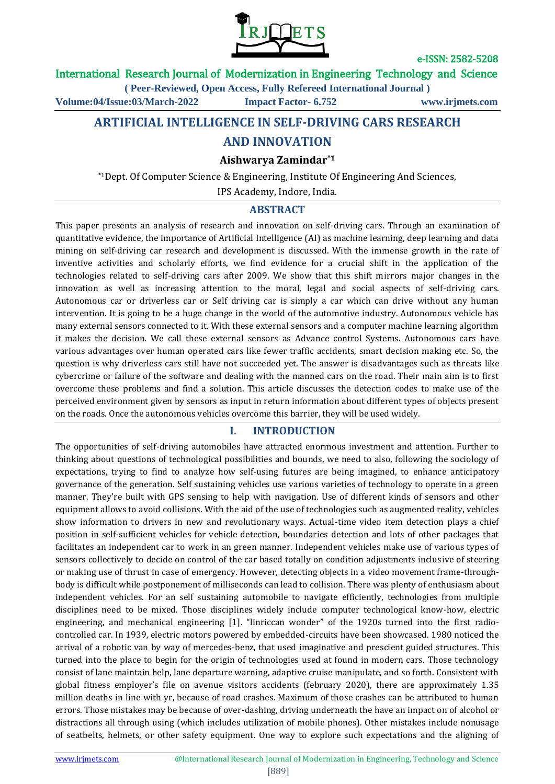

International Research Journal of Modernization in Engineering Technology and Science

**( Peer-Reviewed, Open Access, Fully Refereed International Journal )**

**Volume:04/Issue:03/March-2022 Impact Factor- 6.752 www.irjmets.com**

## **ARTIFICIAL INTELLIGENCE IN SELF-DRIVING CARS RESEARCH**

## **AND INNOVATION**

#### **Aishwarya Zamindar\*1**

\*1Dept. Of Computer Science & Engineering, Institute Of Engineering And Sciences,

IPS Academy, Indore, India.

## **ABSTRACT**

This paper presents an analysis of research and innovation on self-driving cars. Through an examination of quantitative evidence, the importance of Artificial Intelligence (AI) as machine learning, deep learning and data mining on self-driving car research and development is discussed. With the immense growth in the rate of inventive activities and scholarly efforts, we find evidence for a crucial shift in the application of the technologies related to self-driving cars after 2009. We show that this shift mirrors major changes in the innovation as well as increasing attention to the moral, legal and social aspects of self-driving cars. Autonomous car or driverless car or Self driving car is simply a car which can drive without any human intervention. It is going to be a huge change in the world of the automotive industry. Autonomous vehicle has many external sensors connected to it. With these external sensors and a computer machine learning algorithm it makes the decision. We call these external sensors as Advance control Systems. Autonomous cars have various advantages over human operated cars like fewer traffic accidents, smart decision making etc. So, the question is why driverless cars still have not succeeded yet. The answer is disadvantages such as threats like cybercrime or failure of the software and dealing with the manned cars on the road. Their main aim is to first overcome these problems and find a solution. This article discusses the detection codes to make use of the perceived environment given by sensors as input in return information about different types of objects present on the roads. Once the autonomous vehicles overcome this barrier, they will be used widely.

## **I. INTRODUCTION**

The opportunities of self-driving automobiles have attracted enormous investment and attention. Further to thinking about questions of technological possibilities and bounds, we need to also, following the sociology of expectations, trying to find to analyze how self-using futures are being imagined, to enhance anticipatory governance of the generation. Self sustaining vehicles use various varieties of technology to operate in a green manner. They're built with GPS sensing to help with navigation. Use of different kinds of sensors and other equipment allows to avoid collisions. With the aid of the use of technologies such as augmented reality, vehicles show information to drivers in new and revolutionary ways. Actual-time video item detection plays a chief position in self-sufficient vehicles for vehicle detection, boundaries detection and lots of other packages that facilitates an independent car to work in an green manner. Independent vehicles make use of various types of sensors collectively to decide on control of the car based totally on condition adjustments inclusive of steering or making use of thrust in case of emergency. However, detecting objects in a video movement frame-throughbody is difficult while postponement of milliseconds can lead to collision. There was plenty of enthusiasm about independent vehicles. For an self sustaining automobile to navigate efficiently, technologies from multiple disciplines need to be mixed. Those disciplines widely include computer technological know-how, electric engineering, and mechanical engineering [1]. "linriccan wonder" of the 1920s turned into the first radiocontrolled car. In 1939, electric motors powered by embedded-circuits have been showcased. 1980 noticed the arrival of a robotic van by way of mercedes-benz, that used imaginative and prescient guided structures. This turned into the place to begin for the origin of technologies used at found in modern cars. Those technology consist of lane maintain help, lane departure warning, adaptive cruise manipulate, and so forth. Consistent with global fitness employer's file on avenue visitors accidents (february 2020), there are approximately 1.35 million deaths in line with yr, because of road crashes. Maximum of those crashes can be attributed to human errors. Those mistakes may be because of over-dashing, driving underneath the have an impact on of alcohol or distractions all through using (which includes utilization of mobile phones). Other mistakes include nonusage of seatbelts, helmets, or other safety equipment. One way to explore such expectations and the aligning of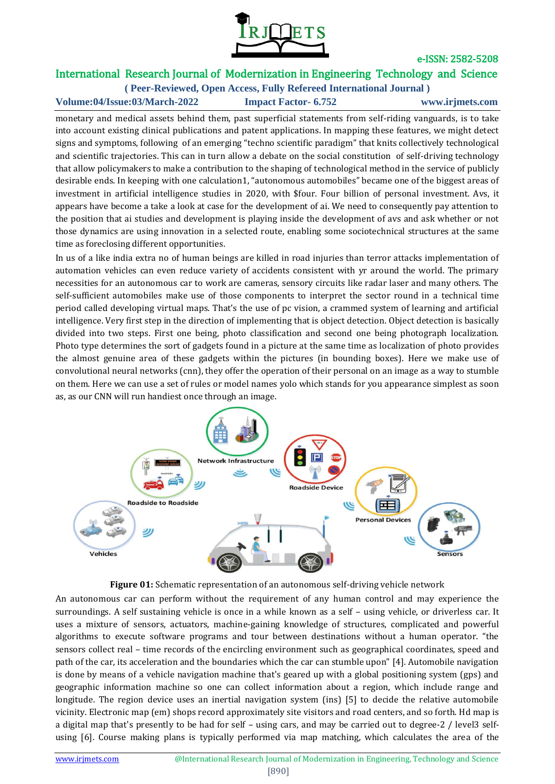

## International Research Journal of Modernization in Engineering Technology and Science **( Peer-Reviewed, Open Access, Fully Refereed International Journal )**

**Volume:04/Issue:03/March-2022 Impact Factor- 6.752 www.irjmets.com**

monetary and medical assets behind them, past superficial statements from self-riding vanguards, is to take into account existing clinical publications and patent applications. In mapping these features, we might detect signs and symptoms, following of an emerging "techno scientific paradigm" that knits collectively technological and scientific trajectories. This can in turn allow a debate on the social constitution of self-driving technology that allow policymakers to make a contribution to the shaping of technological method in the service of publicly desirable ends. In keeping with one calculation1, "autonomous automobiles" became one of the biggest areas of investment in artificial intelligence studies in 2020, with \$four. Four billion of personal investment. Avs, it appears have become a take a look at case for the development of ai. We need to consequently pay attention to the position that ai studies and development is playing inside the development of avs and ask whether or not those dynamics are using innovation in a selected route, enabling some sociotechnical structures at the same time as foreclosing different opportunities.

In us of a like india extra no of human beings are killed in road injuries than terror attacks implementation of automation vehicles can even reduce variety of accidents consistent with yr around the world. The primary necessities for an autonomous car to work are cameras, sensory circuits like radar laser and many others. The self-sufficient automobiles make use of those components to interpret the sector round in a technical time period called developing virtual maps. That's the use of pc vision, a crammed system of learning and artificial intelligence. Very first step in the direction of implementing that is object detection. Object detection is basically divided into two steps. First one being, photo classification and second one being photograph localization. Photo type determines the sort of gadgets found in a picture at the same time as localization of photo provides the almost genuine area of these gadgets within the pictures (in bounding boxes). Here we make use of convolutional neural networks (cnn), they offer the operation of their personal on an image as a way to stumble on them. Here we can use a set of rules or model names yolo which stands for you appearance simplest as soon as, as our CNN will run handiest once through an image.



**Figure 01:** Schematic representation of an autonomous self-driving vehicle network

An autonomous car can perform without the requirement of any human control and may experience the surroundings. A self sustaining vehicle is once in a while known as a self – using vehicle, or driverless car. It uses a mixture of sensors, actuators, machine-gaining knowledge of structures, complicated and powerful algorithms to execute software programs and tour between destinations without a human operator. "the sensors collect real – time records of the encircling environment such as geographical coordinates, speed and path of the car, its acceleration and the boundaries which the car can stumble upon" [4]. Automobile navigation is done by means of a vehicle navigation machine that's geared up with a global positioning system (gps) and geographic information machine so one can collect information about a region, which include range and longitude. The region device uses an inertial navigation system (ins) [5] to decide the relative automobile vicinity. Electronic map (em) shops record approximately site visitors and road centers, and so forth. Hd map is a digital map that's presently to be had for self – using cars, and may be carried out to degree-2 / level3 selfusing [6]. Course making plans is typically performed via map matching, which calculates the area of the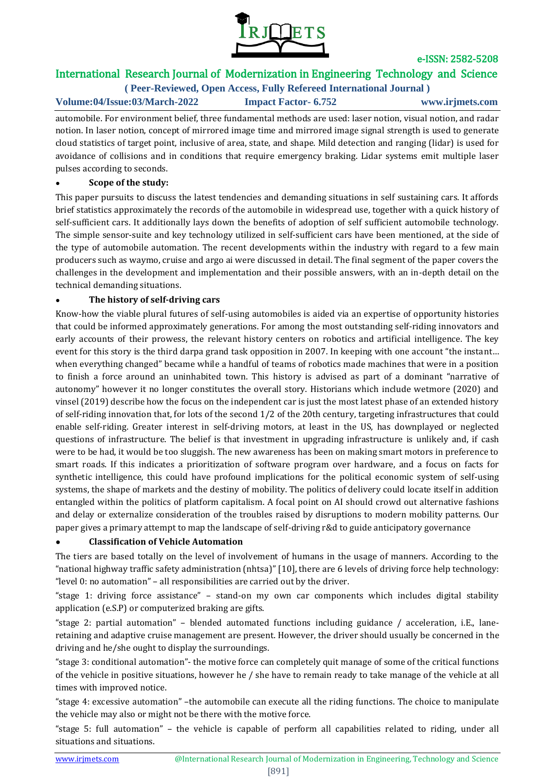

# International Research Journal of Modernization in Engineering Technology and Science

**( Peer-Reviewed, Open Access, Fully Refereed International Journal ) Volume:04/Issue:03/March-2022 Impact Factor- 6.752 www.irjmets.com**

automobile. For environment belief, three fundamental methods are used: laser notion, visual notion, and radar notion. In laser notion, concept of mirrored image time and mirrored image signal strength is used to generate cloud statistics of target point, inclusive of area, state, and shape. Mild detection and ranging (lidar) is used for avoidance of collisions and in conditions that require emergency braking. Lidar systems emit multiple laser pulses according to seconds.

## **● Scope of the study:**

This paper pursuits to discuss the latest tendencies and demanding situations in self sustaining cars. It affords brief statistics approximately the records of the automobile in widespread use, together with a quick history of self-sufficient cars. It additionally lays down the benefits of adoption of self sufficient automobile technology. The simple sensor-suite and key technology utilized in self-sufficient cars have been mentioned, at the side of the type of automobile automation. The recent developments within the industry with regard to a few main producers such as waymo, cruise and argo ai were discussed in detail. The final segment of the paper covers the challenges in the development and implementation and their possible answers, with an in-depth detail on the technical demanding situations.

## **● The history of self-driving cars**

Know-how the viable plural futures of self-using automobiles is aided via an expertise of opportunity histories that could be informed approximately generations. For among the most outstanding self-riding innovators and early accounts of their prowess, the relevant history centers on robotics and artificial intelligence. The key event for this story is the third darpa grand task opposition in 2007. In keeping with one account "the instant… when everything changed" became while a handful of teams of robotics made machines that were in a position to finish a force around an uninhabited town. This history is advised as part of a dominant "narrative of autonomy" however it no longer constitutes the overall story. Historians which include wetmore (2020) and vinsel (2019) describe how the focus on the independent car is just the most latest phase of an extended history of self-riding innovation that, for lots of the second 1/2 of the 20th century, targeting infrastructures that could enable self-riding. Greater interest in self-driving motors, at least in the US, has downplayed or neglected questions of infrastructure. The belief is that investment in upgrading infrastructure is unlikely and, if cash were to be had, it would be too sluggish. The new awareness has been on making smart motors in preference to smart roads. If this indicates a prioritization of software program over hardware, and a focus on facts for synthetic intelligence, this could have profound implications for the political economic system of self-using systems, the shape of markets and the destiny of mobility. The politics of delivery could locate itself in addition entangled within the politics of platform capitalism. A focal point on AI should crowd out alternative fashions and delay or externalize consideration of the troubles raised by disruptions to modern mobility patterns. Our paper gives a primary attempt to map the landscape of self-driving r&d to guide anticipatory governance

## ● **Classification of Vehicle Automation**

The tiers are based totally on the level of involvement of humans in the usage of manners. According to the "national highway traffic safety administration (nhtsa)" [10], there are 6 levels of driving force help technology: "level 0: no automation" – all responsibilities are carried out by the driver.

"stage 1: driving force assistance" – stand-on my own car components which includes digital stability application (e.S.P) or computerized braking are gifts.

"stage 2: partial automation" – blended automated functions including guidance / acceleration, i.E., laneretaining and adaptive cruise management are present. However, the driver should usually be concerned in the driving and he/she ought to display the surroundings.

"stage 3: conditional automation"- the motive force can completely quit manage of some of the critical functions of the vehicle in positive situations, however he / she have to remain ready to take manage of the vehicle at all times with improved notice.

"stage 4: excessive automation" –the automobile can execute all the riding functions. The choice to manipulate the vehicle may also or might not be there with the motive force.

"stage 5: full automation" – the vehicle is capable of perform all capabilities related to riding, under all situations and situations.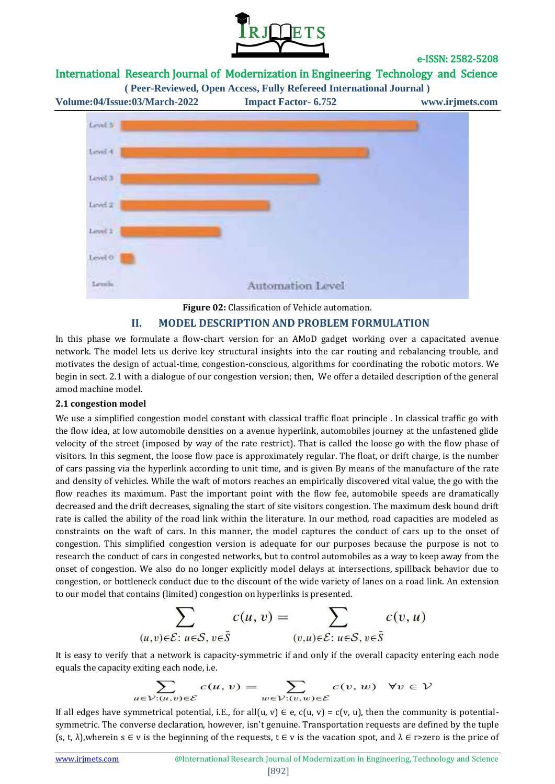

## International Research Journal of Modernization in Engineering Technology and Science



#### **Figure 02:** Classification of Vehicle automation.

## **II. MODEL DESCRIPTION AND PROBLEM FORMULATION**

In this phase we formulate a flow-chart version for an AMoD gadget working over a capacitated avenue network. The model lets us derive key structural insights into the car routing and rebalancing trouble, and motivates the design of actual-time, congestion-conscious, algorithms for coordinating the robotic motors. We begin in sect. 2.1 with a dialogue of our congestion version; then, We offer a detailed description of the general amod machine model.

#### **2.1 congestion model**

We use a simplified congestion model constant with classical traffic float principle . In classical traffic go with the flow idea, at low automobile densities on a avenue hyperlink, automobiles journey at the unfastened glide velocity of the street (imposed by way of the rate restrict). That is called the loose go with the flow phase of visitors. In this segment, the loose flow pace is approximately regular. The float, or drift charge, is the number of cars passing via the hyperlink according to unit time, and is given By means of the manufacture of the rate and density of vehicles. While the waft of motors reaches an empirically discovered vital value, the go with the flow reaches its maximum. Past the important point with the flow fee, automobile speeds are dramatically decreased and the drift decreases, signaling the start of site visitors congestion. The maximum desk bound drift rate is called the ability of the road link within the literature. In our method, road capacities are modeled as constraints on the waft of cars. In this manner, the model captures the conduct of cars up to the onset of congestion. This simplified congestion version is adequate for our purposes because the purpose is not to research the conduct of cars in congested networks, but to control automobiles as a way to keep away from the onset of congestion. We also do no longer explicitly model delays at intersections, spillback behavior due to congestion, or bottleneck conduct due to the discount of the wide variety of lanes on a road link. An extension to our model that contains (limited) congestion on hyperlinks is presented.

$$
\sum_{(u,v)\in \mathcal{E}:\ u\in \mathcal{S},\ v\in \bar{\mathcal{S}}}c(u,v)=\sum_{(v,u)\in \mathcal{E}:\ u\in \mathcal{S},\ v\in \bar{\mathcal{S}}}c(v,u)
$$

It is easy to verify that a network is capacity-symmetric if and only if the overall capacity entering each node equals the capacity exiting each node, i.e.

$$
\sum_{u \in \mathcal{V}: (u,v) \in \mathcal{E}} c(u,v) = \sum_{w \in \mathcal{V}: (v,w) \in \mathcal{E}} c(v,w) \quad \forall v \in \mathcal{V}
$$

If all edges have symmetrical potential, i.E., for all(u, v)  $\in$  e, c(u, v) = c(v, u), then the community is potentialsymmetric. The converse declaration, however, isn't genuine. Transportation requests are defined by the tuple (s, t,  $\lambda$ ),wherein s  $\in$  v is the beginning of the requests, t  $\in$  v is the vacation spot, and  $\lambda \in$  r>zero is the price of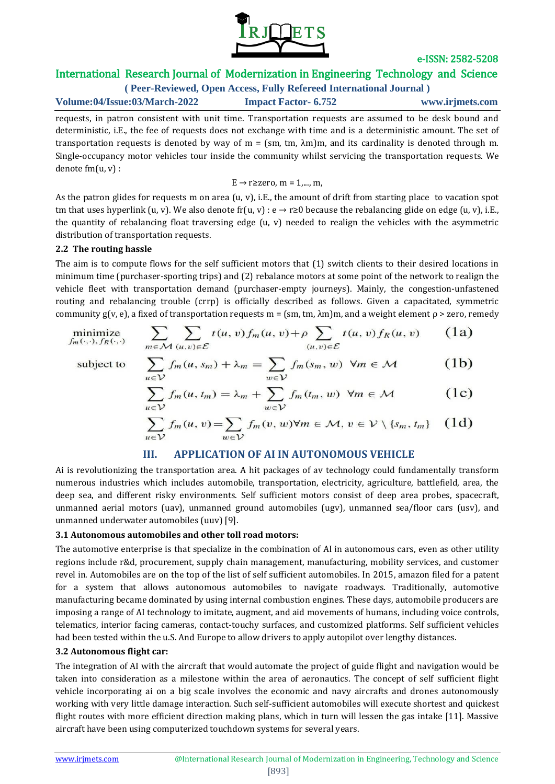

## International Research Journal of Modernization in Engineering Technology and Science

**( Peer-Reviewed, Open Access, Fully Refereed International Journal ) Volume:04/Issue:03/March-2022 Impact Factor- 6.752 www.irjmets.com**

requests, in patron consistent with unit time. Transportation requests are assumed to be desk bound and deterministic, i.E., the fee of requests does not exchange with time and is a deterministic amount. The set of transportation requests is denoted by way of m = (sm, tm, λm)m, and its cardinality is denoted through m. Single-occupancy motor vehicles tour inside the community whilst servicing the transportation requests. We denote fm(u, v) :

$$
\text{E}\rightarrow \text{r}{\geq}\text{zero},\, \text{m}=1,...,\,\text{m},
$$

As the patron glides for requests m on area (u, v), i.E., the amount of drift from starting place to vacation spot tm that uses hyperlink (u, v). We also denote fr(u, v) :  $e \rightarrow r \ge 0$  because the rebalancing glide on edge (u, v), i.E., the quantity of rebalancing float traversing edge  $(u, v)$  needed to realign the vehicles with the asymmetric distribution of transportation requests.

#### **2.2 The routing hassle**

The aim is to compute flows for the self sufficient motors that (1) switch clients to their desired locations in minimum time (purchaser-sporting trips) and (2) rebalance motors at some point of the network to realign the vehicle fleet with transportation demand (purchaser-empty journeys). Mainly, the congestion-unfastened routing and rebalancing trouble (crrp) is officially described as follows. Given a capacitated, symmetric community g(v, e), a fixed of transportation requests m = (sm, tm,  $\lambda$ m)m, and a weight element  $\rho$  > zero, remedy

minimize  

$$
f_m(\cdot,\cdot), f_R(\cdot,\cdot)
$$
  

$$
m \in \mathcal{M}(u,v) \in \mathcal{E}
$$
  

$$
t(u,v) f_m(u,v) + \rho \sum_{(u,v) \in \mathcal{E}} t(u,v) f_R(u,v) \qquad (1a)
$$

subject to

$$
\sum_{u \in \mathcal{V}} f_m(u, s_m) + \lambda_m = \sum_{w \in \mathcal{V}} f_m(s_m, w) \ \forall m \in \mathcal{M} \tag{1b}
$$

$$
\sum_{u \in \mathcal{V}} f_m(u, t_m) = \lambda_m + \sum_{w \in \mathcal{V}} f_m(t_m, w) \ \forall m \in \mathcal{M} \tag{1c}
$$

$$
\sum_{u\in \mathcal{V}} f_m(u,v) = \sum_{w\in \mathcal{V}} f_m(v,w) \forall m\in \mathcal{M}, v\in \mathcal{V}\setminus \{s_m,\, t_m\} \quad \text{(1d)}
$$

## **III. APPLICATION OF AI IN AUTONOMOUS VEHICLE**

Ai is revolutionizing the transportation area. A hit packages of av technology could fundamentally transform numerous industries which includes automobile, transportation, electricity, agriculture, battlefield, area, the deep sea, and different risky environments. Self sufficient motors consist of deep area probes, spacecraft, unmanned aerial motors (uav), unmanned ground automobiles (ugv), unmanned sea/floor cars (usv), and unmanned underwater automobiles (uuv) [9].

#### **3.1 Autonomous automobiles and other toll road motors:**

The automotive enterprise is that specialize in the combination of AI in autonomous cars, even as other utility regions include r&d, procurement, supply chain management, manufacturing, mobility services, and customer revel in. Automobiles are on the top of the list of self sufficient automobiles. In 2015, amazon filed for a patent for a system that allows autonomous automobiles to navigate roadways. Traditionally, automotive manufacturing became dominated by using internal combustion engines. These days, automobile producers are imposing a range of AI technology to imitate, augment, and aid movements of humans, including voice controls, telematics, interior facing cameras, contact-touchy surfaces, and customized platforms. Self sufficient vehicles had been tested within the u.S. And Europe to allow drivers to apply autopilot over lengthy distances.

## **3.2 Autonomous flight car:**

The integration of AI with the aircraft that would automate the project of guide flight and navigation would be taken into consideration as a milestone within the area of aeronautics. The concept of self sufficient flight vehicle incorporating ai on a big scale involves the economic and navy aircrafts and drones autonomously working with very little damage interaction. Such self-sufficient automobiles will execute shortest and quickest flight routes with more efficient direction making plans, which in turn will lessen the gas intake [11]. Massive aircraft have been using computerized touchdown systems for several years.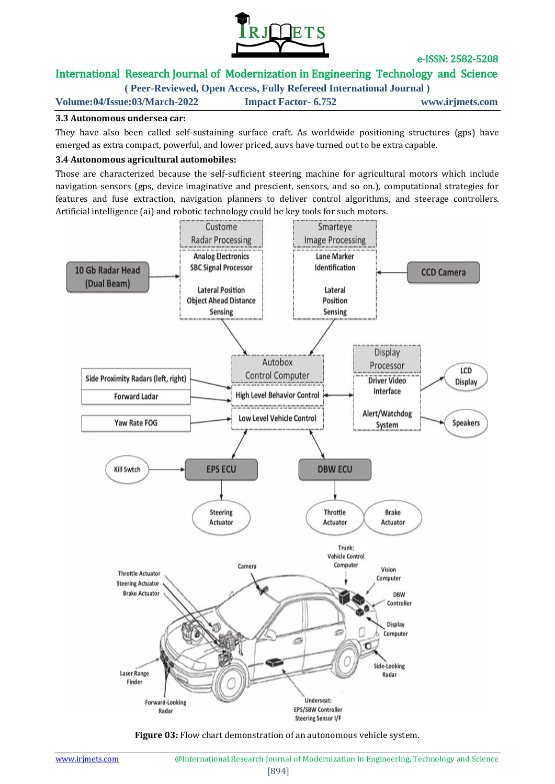

# International Research Journal of Modernization in Engineering Technology and Science

**( Peer-Reviewed, Open Access, Fully Refereed International Journal )**

**Volume:04/Issue:03/March-2022 Impact Factor- 6.752 www.irjmets.com**

#### **3.3 Autonomous undersea car:**

They have also been called self-sustaining surface craft. As worldwide positioning structures (gps) have emerged as extra compact, powerful, and lower priced, auvs have turned out to be extra capable.

#### **3.4 Autonomous agricultural automobiles:**

Those are characterized because the self-sufficient steering machine for agricultural motors which include navigation sensors (gps, device imaginative and prescient, sensors, and so on.), computational strategies for features and fuse extraction, navigation planners to deliver control algorithms, and steerage controllers. Artificial intelligence (ai) and robotic technology could be key tools for such motors.



**Figure 03:** Flow chart demonstration of an autonomous vehicle system.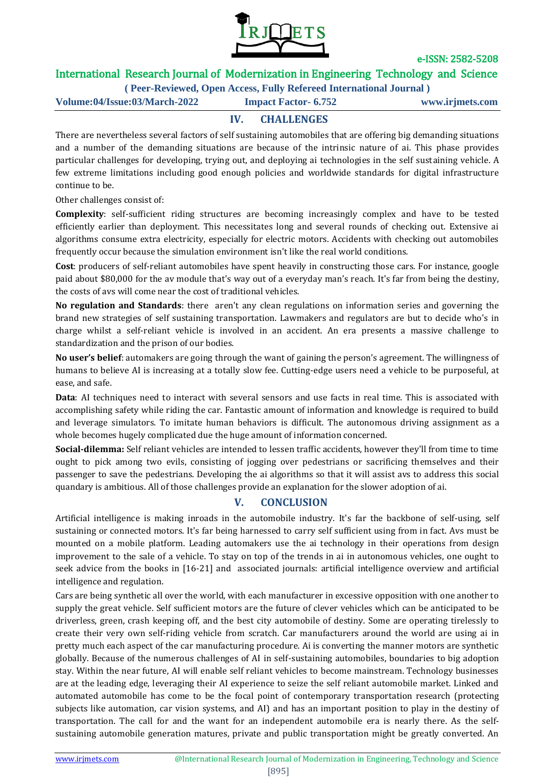

# International Research Journal of Modernization in Engineering Technology and Science

**( Peer-Reviewed, Open Access, Fully Refereed International Journal )**

**Volume:04/Issue:03/March-2022 Impact Factor- 6.752 www.irjmets.com**

**IV. CHALLENGES**

There are nevertheless several factors of self sustaining automobiles that are offering big demanding situations and a number of the demanding situations are because of the intrinsic nature of ai. This phase provides particular challenges for developing, trying out, and deploying ai technologies in the self sustaining vehicle. A few extreme limitations including good enough policies and worldwide standards for digital infrastructure continue to be.

Other challenges consist of:

**Complexity**: self-sufficient riding structures are becoming increasingly complex and have to be tested efficiently earlier than deployment. This necessitates long and several rounds of checking out. Extensive ai algorithms consume extra electricity, especially for electric motors. Accidents with checking out automobiles frequently occur because the simulation environment isn't like the real world conditions.

**Cost**: producers of self-reliant automobiles have spent heavily in constructing those cars. For instance, google paid about \$80,000 for the av module that's way out of a everyday man's reach. It's far from being the destiny, the costs of avs will come near the cost of traditional vehicles.

**No regulation and Standards**: there aren't any clean regulations on information series and governing the brand new strategies of self sustaining transportation. Lawmakers and regulators are but to decide who's in charge whilst a self-reliant vehicle is involved in an accident. An era presents a massive challenge to standardization and the prison of our bodies.

**No user's belief**: automakers are going through the want of gaining the person's agreement. The willingness of humans to believe AI is increasing at a totally slow fee. Cutting-edge users need a vehicle to be purposeful, at ease, and safe.

**Data**: AI techniques need to interact with several sensors and use facts in real time. This is associated with accomplishing safety while riding the car. Fantastic amount of information and knowledge is required to build and leverage simulators. To imitate human behaviors is difficult. The autonomous driving assignment as a whole becomes hugely complicated due the huge amount of information concerned.

**Social-dilemma:** Self reliant vehicles are intended to lessen traffic accidents, however they'll from time to time ought to pick among two evils, consisting of jogging over pedestrians or sacrificing themselves and their passenger to save the pedestrians. Developing the ai algorithms so that it will assist avs to address this social quandary is ambitious. All of those challenges provide an explanation for the slower adoption of ai.

## **V. CONCLUSION**

Artificial intelligence is making inroads in the automobile industry. It's far the backbone of self-using, self sustaining or connected motors. It's far being harnessed to carry self sufficient using from in fact. Avs must be mounted on a mobile platform. Leading automakers use the ai technology in their operations from design improvement to the sale of a vehicle. To stay on top of the trends in ai in autonomous vehicles, one ought to seek advice from the books in [16-21] and associated journals: artificial intelligence overview and artificial intelligence and regulation.

Cars are being synthetic all over the world, with each manufacturer in excessive opposition with one another to supply the great vehicle. Self sufficient motors are the future of clever vehicles which can be anticipated to be driverless, green, crash keeping off, and the best city automobile of destiny. Some are operating tirelessly to create their very own self-riding vehicle from scratch. Car manufacturers around the world are using ai in pretty much each aspect of the car manufacturing procedure. Ai is converting the manner motors are synthetic globally. Because of the numerous challenges of AI in self-sustaining automobiles, boundaries to big adoption stay. Within the near future, AI will enable self reliant vehicles to become mainstream. Technology businesses are at the leading edge, leveraging their AI experience to seize the self reliant automobile market. Linked and automated automobile has come to be the focal point of contemporary transportation research (protecting subjects like automation, car vision systems, and AI) and has an important position to play in the destiny of transportation. The call for and the want for an independent automobile era is nearly there. As the selfsustaining automobile generation matures, private and public transportation might be greatly converted. An